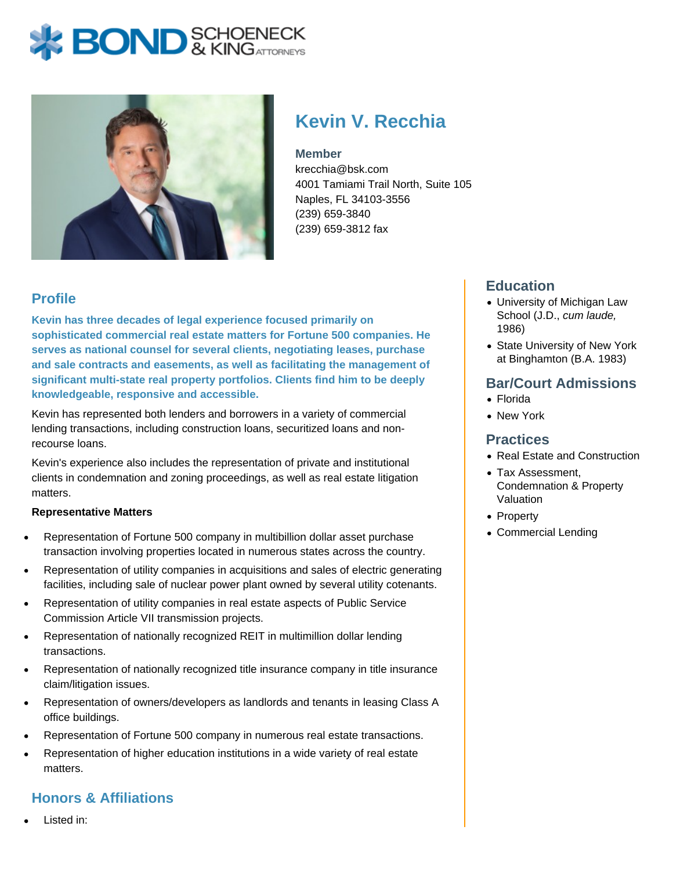# **BOND** & KINGATTORNECK



# **Kevin V. Recchia**

#### **Member**

krecchia@bsk.com 4001 Tamiami Trail North, Suite 105 Naples, FL 34103-3556 (239) 659-3840 (239) 659-3812 fax

## **Profile**

**Kevin has three decades of legal experience focused primarily on sophisticated commercial real estate matters for Fortune 500 companies. He serves as national counsel for several clients, negotiating leases, purchase and sale contracts and easements, as well as facilitating the management of significant multi-state real property portfolios. Clients find him to be deeply knowledgeable, responsive and accessible.** 

Kevin has represented both lenders and borrowers in a variety of commercial lending transactions, including construction loans, securitized loans and nonrecourse loans.

Kevin's experience also includes the representation of private and institutional clients in condemnation and zoning proceedings, as well as real estate litigation matters.

#### **Representative Matters**

- Representation of Fortune 500 company in multibillion dollar asset purchase transaction involving properties located in numerous states across the country.
- Representation of utility companies in acquisitions and sales of electric generating facilities, including sale of nuclear power plant owned by several utility cotenants.
- Representation of utility companies in real estate aspects of Public Service Commission Article VII transmission projects.
- Representation of nationally recognized REIT in multimillion dollar lending transactions.
- Representation of nationally recognized title insurance company in title insurance claim/litigation issues.
- Representation of owners/developers as landlords and tenants in leasing Class A office buildings.
- Representation of Fortune 500 company in numerous real estate transactions.
- Representation of higher education institutions in a wide variety of real estate matters.

## **Honors & Affiliations**

Listed in:

#### **Education**

- University of Michigan Law School (J.D., cum laude, 1986)
- State University of New York at Binghamton (B.A. 1983)

#### **Bar/Court Admissions**

- Florida
- New York

#### **Practices**

- Real Estate and Construction
- Tax Assessment. Condemnation & Property Valuation
- Property
- Commercial Lending